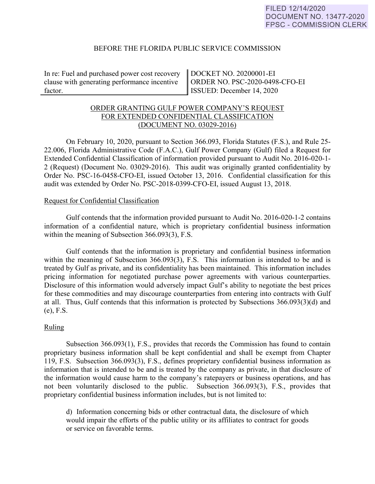### BEFORE THE FLORIDA PUBLIC SERVICE COMMISSION

In re: Fuel and purchased power cost recovery clause with generating performance incentive factor.

DOCKET NO. 20200001-EI ORDER NO. PSC-2020-0498-CFO-EI ISSUED: December 14, 2020

# ORDER GRANTING GULF POWER COMPANY'S REQUEST FOR EXTENDED CONFIDENTIAL CLASSIFICATION (DOCUMENT NO. 03029-2016)

 On February 10, 2020, pursuant to Section 366.093, Florida Statutes (F.S.), and Rule 25- 22.006, Florida Administrative Code (F.A.C.), Gulf Power Company (Gulf) filed a Request for Extended Confidential Classification of information provided pursuant to Audit No. 2016-020-1- 2 (Request) (Document No. 03029-2016). This audit was originally granted confidentiality by Order No. PSC-16-0458-CFO-EI, issued October 13, 2016. Confidential classification for this audit was extended by Order No. PSC-2018-0399-CFO-EI, issued August 13, 2018.

### Request for Confidential Classification

 Gulf contends that the information provided pursuant to Audit No. 2016-020-1-2 contains information of a confidential nature, which is proprietary confidential business information within the meaning of Subsection 366.093(3), F.S.

Gulf contends that the information is proprietary and confidential business information within the meaning of Subsection 366.093(3), F.S. This information is intended to be and is treated by Gulf as private, and its confidentiality has been maintained. This information includes pricing information for negotiated purchase power agreements with various counterparties. Disclosure of this information would adversely impact Gulf's ability to negotiate the best prices for these commodities and may discourage counterparties from entering into contracts with Gulf at all. Thus, Gulf contends that this information is protected by Subsections 366.093(3)(d) and (e), F.S.

## Ruling

Subsection 366.093(1), F.S., provides that records the Commission has found to contain proprietary business information shall be kept confidential and shall be exempt from Chapter 119, F.S. Subsection 366.093(3), F.S., defines proprietary confidential business information as information that is intended to be and is treated by the company as private, in that disclosure of the information would cause harm to the company's ratepayers or business operations, and has not been voluntarily disclosed to the public. Subsection 366.093(3), F.S., provides that proprietary confidential business information includes, but is not limited to:

d) Information concerning bids or other contractual data, the disclosure of which would impair the efforts of the public utility or its affiliates to contract for goods or service on favorable terms.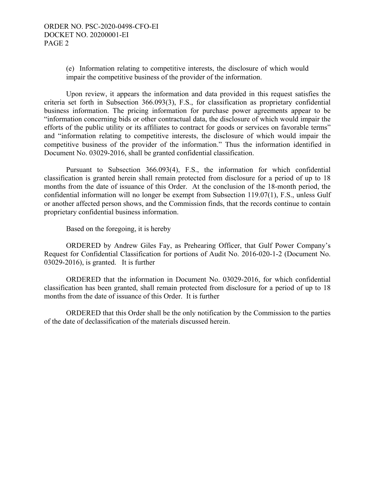(e) Information relating to competitive interests, the disclosure of which would impair the competitive business of the provider of the information.

Upon review, it appears the information and data provided in this request satisfies the criteria set forth in Subsection 366.093(3), F.S., for classification as proprietary confidential business information. The pricing information for purchase power agreements appear to be "information concerning bids or other contractual data, the disclosure of which would impair the efforts of the public utility or its affiliates to contract for goods or services on favorable terms" and "information relating to competitive interests, the disclosure of which would impair the competitive business of the provider of the information." Thus the information identified in Document No. 03029-2016, shall be granted confidential classification.

Pursuant to Subsection 366.093(4), F.S., the information for which confidential classification is granted herein shall remain protected from disclosure for a period of up to 18 months from the date of issuance of this Order. At the conclusion of the 18-month period, the confidential information will no longer be exempt from Subsection 119.07(1), F.S., unless Gulf or another affected person shows, and the Commission finds, that the records continue to contain proprietary confidential business information.

Based on the foregoing, it is hereby

 ORDERED by Andrew Giles Fay, as Prehearing Officer, that Gulf Power Company's Request for Confidential Classification for portions of Audit No. 2016-020-1-2 (Document No. 03029-2016), is granted. It is further

 ORDERED that the information in Document No. 03029-2016, for which confidential classification has been granted, shall remain protected from disclosure for a period of up to 18 months from the date of issuance of this Order. It is further

 ORDERED that this Order shall be the only notification by the Commission to the parties of the date of declassification of the materials discussed herein.